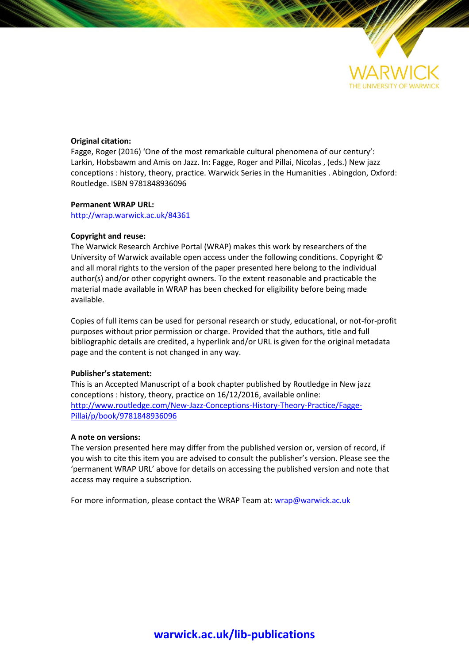

#### **Original citation:**

Fagge, Roger (2016) 'One of the most remarkable cultural phenomena of our century': Larkin, Hobsbawm and Amis on Jazz. In: Fagge, Roger and Pillai, Nicolas , (eds.) New jazz conceptions : history, theory, practice. Warwick Series in the Humanities . Abingdon, Oxford: Routledge. ISBN 9781848936096

#### **Permanent WRAP URL:**

<http://wrap.warwick.ac.uk/84361>

#### **Copyright and reuse:**

The Warwick Research Archive Portal (WRAP) makes this work by researchers of the University of Warwick available open access under the following conditions. Copyright © and all moral rights to the version of the paper presented here belong to the individual author(s) and/or other copyright owners. To the extent reasonable and practicable the material made available in WRAP has been checked for eligibility before being made available.

Copies of full items can be used for personal research or study, educational, or not-for-profit purposes without prior permission or charge. Provided that the authors, title and full bibliographic details are credited, a hyperlink and/or URL is given for the original metadata page and the content is not changed in any way.

### **Publisher's statement:**

This is an Accepted Manuscript of a book chapter published by Routledge in New jazz conceptions : history, theory, practice on 16/12/2016, available online: [http://www.routledge.com/New-Jazz-Conceptions-History-Theory-Practice/Fagge-](http://www.routledge.com/New-Jazz-Conceptions-History-Theory-Practice/Fagge-Pillai/p/book/9781848936096)[Pillai/p/book/9781848936096](http://www.routledge.com/New-Jazz-Conceptions-History-Theory-Practice/Fagge-Pillai/p/book/9781848936096) 

#### **A note on versions:**

The version presented here may differ from the published version or, version of record, if you wish to cite this item you are advised to consult the publisher's version. Please see the 'permanent WRAP URL' above for details on accessing the published version and note that access may require a subscription.

For more information, please contact the WRAP Team at[: wrap@warwick.ac.uk](mailto:wrap@warwick.ac.uk)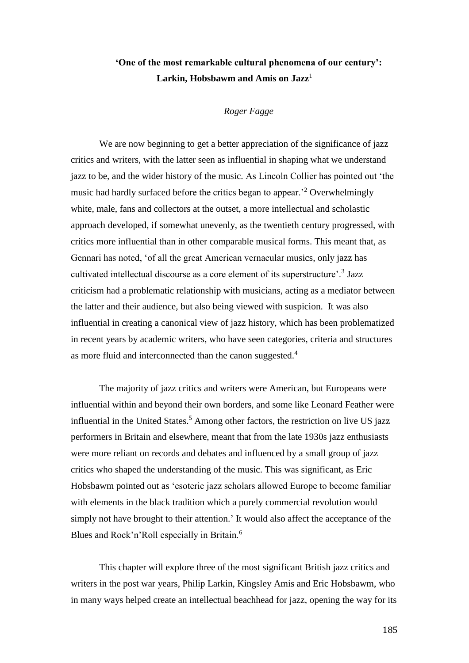# **'One of the most remarkable cultural phenomena of our century':**  Larkin, Hobsbawm and Amis on Jazz<sup>1</sup>

## *Roger Fagge*

We are now beginning to get a better appreciation of the significance of jazz critics and writers, with the latter seen as influential in shaping what we understand jazz to be, and the wider history of the music. As Lincoln Collier has pointed out 'the music had hardly surfaced before the critics began to appear.'<sup>2</sup> Overwhelmingly white, male, fans and collectors at the outset, a more intellectual and scholastic approach developed, if somewhat unevenly, as the twentieth century progressed, with critics more influential than in other comparable musical forms. This meant that, as Gennari has noted, 'of all the great American vernacular musics, only jazz has cultivated intellectual discourse as a core element of its superstructure'.<sup>3</sup> Jazz criticism had a problematic relationship with musicians, acting as a mediator between the latter and their audience, but also being viewed with suspicion. It was also influential in creating a canonical view of jazz history, which has been problematized in recent years by academic writers, who have seen categories, criteria and structures as more fluid and interconnected than the canon suggested.<sup>4</sup>

The majority of jazz critics and writers were American, but Europeans were influential within and beyond their own borders, and some like Leonard Feather were influential in the United States.<sup>5</sup> Among other factors, the restriction on live US jazz performers in Britain and elsewhere, meant that from the late 1930s jazz enthusiasts were more reliant on records and debates and influenced by a small group of jazz critics who shaped the understanding of the music. This was significant, as Eric Hobsbawm pointed out as 'esoteric jazz scholars allowed Europe to become familiar with elements in the black tradition which a purely commercial revolution would simply not have brought to their attention.' It would also affect the acceptance of the Blues and Rock'n'Roll especially in Britain.<sup>6</sup>

This chapter will explore three of the most significant British jazz critics and writers in the post war years, Philip Larkin, Kingsley Amis and Eric Hobsbawm, who in many ways helped create an intellectual beachhead for jazz, opening the way for its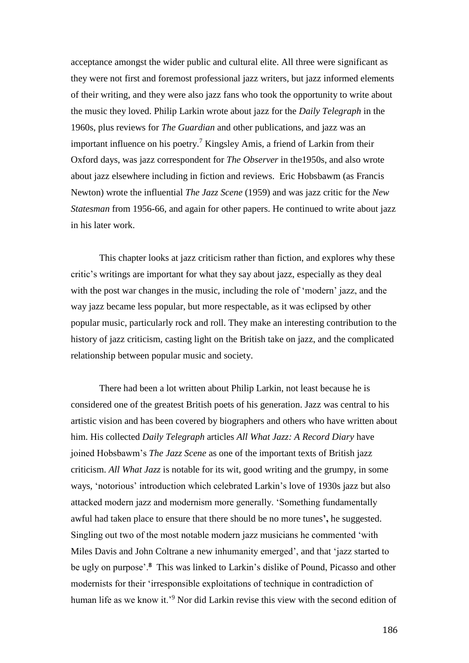acceptance amongst the wider public and cultural elite. All three were significant as they were not first and foremost professional jazz writers, but jazz informed elements of their writing, and they were also jazz fans who took the opportunity to write about the music they loved. Philip Larkin wrote about jazz for the *Daily Telegraph* in the 1960s, plus reviews for *The Guardian* and other publications, and jazz was an important influence on his poetry.<sup>7</sup> Kingsley Amis, a friend of Larkin from their Oxford days, was jazz correspondent for *The Observer* in the1950s, and also wrote about jazz elsewhere including in fiction and reviews. Eric Hobsbawm (as Francis Newton) wrote the influential *The Jazz Scene* (1959) and was jazz critic for the *New Statesman* from 1956-66, and again for other papers. He continued to write about jazz in his later work.

This chapter looks at jazz criticism rather than fiction, and explores why these critic's writings are important for what they say about jazz, especially as they deal with the post war changes in the music, including the role of 'modern' jazz, and the way jazz became less popular, but more respectable, as it was eclipsed by other popular music, particularly rock and roll. They make an interesting contribution to the history of jazz criticism, casting light on the British take on jazz, and the complicated relationship between popular music and society.

There had been a lot written about Philip Larkin, not least because he is considered one of the greatest British poets of his generation. Jazz was central to his artistic vision and has been covered by biographers and others who have written about him. His collected *Daily Telegraph* articles *All What Jazz: A Record Diary* have joined Hobsbawm's *The Jazz Scene* as one of the important texts of British jazz criticism. *All What Jazz* is notable for its wit, good writing and the grumpy, in some ways, 'notorious' introduction which celebrated Larkin's love of 1930s jazz but also attacked modern jazz and modernism more generally. 'Something fundamentally awful had taken place to ensure that there should be no more tunes**',** he suggested. Singling out two of the most notable modern jazz musicians he commented 'with Miles Davis and John Coltrane a new inhumanity emerged', and that 'jazz started to be ugly on purpose'.**<sup>8</sup>** This was linked to Larkin's dislike of Pound, Picasso and other modernists for their 'irresponsible exploitations of technique in contradiction of human life as we know it.'<sup>9</sup> Nor did Larkin revise this view with the second edition of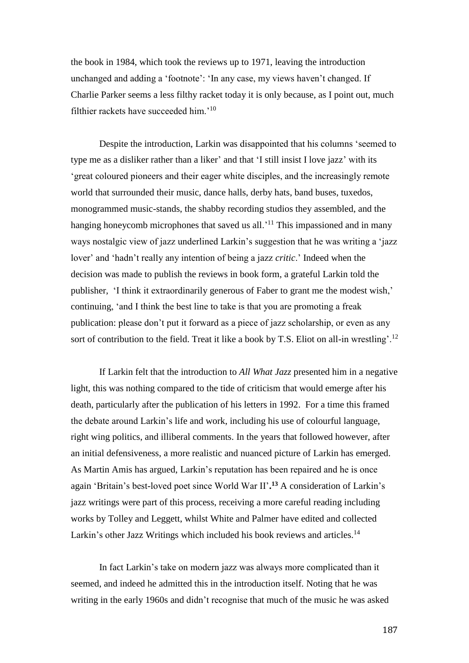the book in 1984, which took the reviews up to 1971, leaving the introduction unchanged and adding a 'footnote': 'In any case, my views haven't changed. If Charlie Parker seems a less filthy racket today it is only because, as I point out, much filthier rackets have succeeded him.'<sup>10</sup>

Despite the introduction, Larkin was disappointed that his columns 'seemed to type me as a disliker rather than a liker' and that 'I still insist I love jazz' with its 'great coloured pioneers and their eager white disciples, and the increasingly remote world that surrounded their music, dance halls, derby hats, band buses, tuxedos, monogrammed music-stands, the shabby recording studios they assembled, and the hanging honeycomb microphones that saved us all.<sup>'11</sup> This impassioned and in many ways nostalgic view of jazz underlined Larkin's suggestion that he was writing a 'jazz lover' and 'hadn't really any intention of being a jazz *critic*.' Indeed when the decision was made to publish the reviews in book form, a grateful Larkin told the publisher, 'I think it extraordinarily generous of Faber to grant me the modest wish,' continuing, 'and I think the best line to take is that you are promoting a freak publication: please don't put it forward as a piece of jazz scholarship, or even as any sort of contribution to the field. Treat it like a book by T.S. Eliot on all-in wrestling'.<sup>12</sup>

If Larkin felt that the introduction to *All What Jazz* presented him in a negative light, this was nothing compared to the tide of criticism that would emerge after his death, particularly after the publication of his letters in 1992. For a time this framed the debate around Larkin's life and work, including his use of colourful language, right wing politics, and illiberal comments. In the years that followed however, after an initial defensiveness, a more realistic and nuanced picture of Larkin has emerged. As Martin Amis has argued, Larkin's reputation has been repaired and he is once again 'Britain's best-loved poet since World War II'**. <sup>13</sup>** A consideration of Larkin's jazz writings were part of this process, receiving a more careful reading including works by Tolley and Leggett, whilst White and Palmer have edited and collected Larkin's other Jazz Writings which included his book reviews and articles.<sup>14</sup>

In fact Larkin's take on modern jazz was always more complicated than it seemed, and indeed he admitted this in the introduction itself. Noting that he was writing in the early 1960s and didn't recognise that much of the music he was asked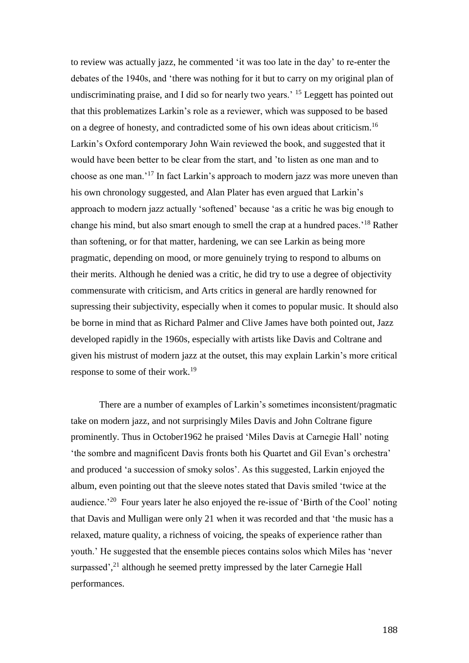to review was actually jazz, he commented 'it was too late in the day' to re-enter the debates of the 1940s, and 'there was nothing for it but to carry on my original plan of undiscriminating praise, and I did so for nearly two years.<sup>15</sup> Leggett has pointed out that this problematizes Larkin's role as a reviewer, which was supposed to be based on a degree of honesty, and contradicted some of his own ideas about criticism.<sup>16</sup> Larkin's Oxford contemporary John Wain reviewed the book, and suggested that it would have been better to be clear from the start, and 'to listen as one man and to choose as one man.'<sup>17</sup> In fact Larkin's approach to modern jazz was more uneven than his own chronology suggested, and Alan Plater has even argued that Larkin's approach to modern jazz actually 'softened' because 'as a critic he was big enough to change his mind, but also smart enough to smell the crap at a hundred paces.'<sup>18</sup> Rather than softening, or for that matter, hardening, we can see Larkin as being more pragmatic, depending on mood, or more genuinely trying to respond to albums on their merits. Although he denied was a critic, he did try to use a degree of objectivity commensurate with criticism, and Arts critics in general are hardly renowned for supressing their subjectivity, especially when it comes to popular music. It should also be borne in mind that as Richard Palmer and Clive James have both pointed out, Jazz developed rapidly in the 1960s, especially with artists like Davis and Coltrane and given his mistrust of modern jazz at the outset, this may explain Larkin's more critical response to some of their work.<sup>19</sup>

There are a number of examples of Larkin's sometimes inconsistent/pragmatic take on modern jazz, and not surprisingly Miles Davis and John Coltrane figure prominently. Thus in October1962 he praised 'Miles Davis at Carnegie Hall' noting 'the sombre and magnificent Davis fronts both his Quartet and Gil Evan's orchestra' and produced 'a succession of smoky solos'. As this suggested, Larkin enjoyed the album, even pointing out that the sleeve notes stated that Davis smiled 'twice at the audience.<sup>20</sup> Four years later he also enjoyed the re-issue of 'Birth of the Cool' noting that Davis and Mulligan were only 21 when it was recorded and that 'the music has a relaxed, mature quality, a richness of voicing, the speaks of experience rather than youth.' He suggested that the ensemble pieces contains solos which Miles has 'never surpassed',<sup>21</sup> although he seemed pretty impressed by the later Carnegie Hall performances.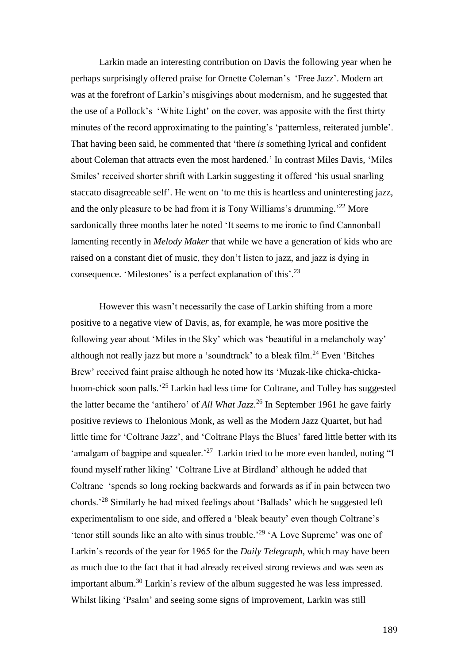Larkin made an interesting contribution on Davis the following year when he perhaps surprisingly offered praise for Ornette Coleman's 'Free Jazz'. Modern art was at the forefront of Larkin's misgivings about modernism, and he suggested that the use of a Pollock's 'White Light' on the cover, was apposite with the first thirty minutes of the record approximating to the painting's 'patternless, reiterated jumble'. That having been said, he commented that 'there *is* something lyrical and confident about Coleman that attracts even the most hardened.' In contrast Miles Davis, 'Miles Smiles' received shorter shrift with Larkin suggesting it offered 'his usual snarling staccato disagreeable self'. He went on 'to me this is heartless and uninteresting jazz, and the only pleasure to be had from it is Tony Williams's drumming.' <sup>22</sup> More sardonically three months later he noted 'It seems to me ironic to find Cannonball lamenting recently in *Melody Maker* that while we have a generation of kids who are raised on a constant diet of music, they don't listen to jazz, and jazz is dying in consequence. 'Milestones' is a perfect explanation of this'.<sup>23</sup>

However this wasn't necessarily the case of Larkin shifting from a more positive to a negative view of Davis, as, for example, he was more positive the following year about 'Miles in the Sky' which was 'beautiful in a melancholy way' although not really jazz but more a 'soundtrack' to a bleak film.<sup>24</sup> Even 'Bitches' Brew' received faint praise although he noted how its 'Muzak-like chicka-chickaboom-chick soon palls.'<sup>25</sup> Larkin had less time for Coltrane, and Tolley has suggested the latter became the 'antihero' of *All What Jazz*. <sup>26</sup> In September 1961 he gave fairly positive reviews to Thelonious Monk, as well as the Modern Jazz Quartet, but had little time for 'Coltrane Jazz', and 'Coltrane Plays the Blues' fared little better with its 'amalgam of bagpipe and squealer.<sup>27</sup> Larkin tried to be more even handed, noting "I found myself rather liking' 'Coltrane Live at Birdland' although he added that Coltrane 'spends so long rocking backwards and forwards as if in pain between two chords.'<sup>28</sup> Similarly he had mixed feelings about 'Ballads' which he suggested left experimentalism to one side, and offered a 'bleak beauty' even though Coltrane's 'tenor still sounds like an alto with sinus trouble.'<sup>29</sup> 'A Love Supreme' was one of Larkin's records of the year for 1965 for the *Daily Telegraph*, which may have been as much due to the fact that it had already received strong reviews and was seen as important album.<sup>30</sup> Larkin's review of the album suggested he was less impressed. Whilst liking 'Psalm' and seeing some signs of improvement, Larkin was still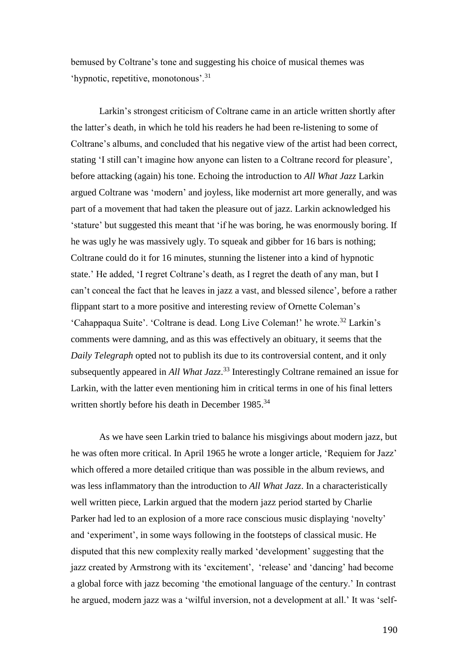bemused by Coltrane's tone and suggesting his choice of musical themes was 'hypnotic, repetitive, monotonous'.<sup>31</sup>

Larkin's strongest criticism of Coltrane came in an article written shortly after the latter's death, in which he told his readers he had been re-listening to some of Coltrane's albums, and concluded that his negative view of the artist had been correct, stating 'I still can't imagine how anyone can listen to a Coltrane record for pleasure', before attacking (again) his tone. Echoing the introduction to *All What Jazz* Larkin argued Coltrane was 'modern' and joyless, like modernist art more generally, and was part of a movement that had taken the pleasure out of jazz. Larkin acknowledged his 'stature' but suggested this meant that 'if he was boring, he was enormously boring. If he was ugly he was massively ugly. To squeak and gibber for 16 bars is nothing; Coltrane could do it for 16 minutes, stunning the listener into a kind of hypnotic state.' He added, 'I regret Coltrane's death, as I regret the death of any man, but I can't conceal the fact that he leaves in jazz a vast, and blessed silence', before a rather flippant start to a more positive and interesting review of Ornette Coleman's 'Cahappaqua Suite'. 'Coltrane is dead. Long Live Coleman!' he wrote.<sup>32</sup> Larkin's comments were damning, and as this was effectively an obituary, it seems that the *Daily Telegraph* opted not to publish its due to its controversial content, and it only subsequently appeared in *All What Jazz*. <sup>33</sup> Interestingly Coltrane remained an issue for Larkin, with the latter even mentioning him in critical terms in one of his final letters written shortly before his death in December 1985.<sup>34</sup>

As we have seen Larkin tried to balance his misgivings about modern jazz, but he was often more critical. In April 1965 he wrote a longer article, 'Requiem for Jazz' which offered a more detailed critique than was possible in the album reviews, and was less inflammatory than the introduction to *All What Jazz*. In a characteristically well written piece, Larkin argued that the modern jazz period started by Charlie Parker had led to an explosion of a more race conscious music displaying 'novelty' and 'experiment', in some ways following in the footsteps of classical music. He disputed that this new complexity really marked 'development' suggesting that the jazz created by Armstrong with its 'excitement', 'release' and 'dancing' had become a global force with jazz becoming 'the emotional language of the century.' In contrast he argued, modern jazz was a 'wilful inversion, not a development at all.' It was 'self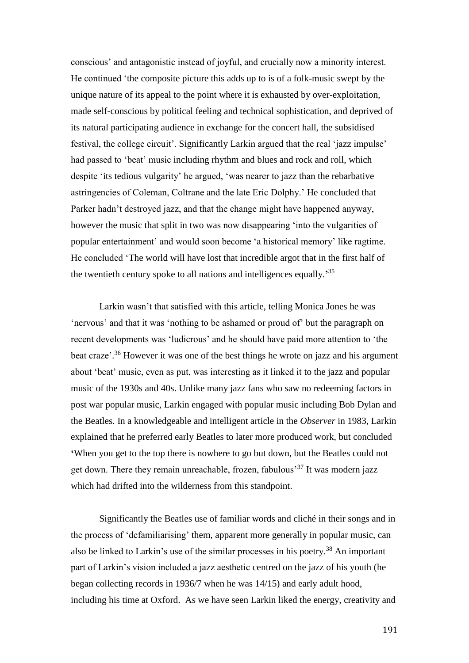conscious' and antagonistic instead of joyful, and crucially now a minority interest. He continued 'the composite picture this adds up to is of a folk-music swept by the unique nature of its appeal to the point where it is exhausted by over-exploitation, made self-conscious by political feeling and technical sophistication, and deprived of its natural participating audience in exchange for the concert hall, the subsidised festival, the college circuit'. Significantly Larkin argued that the real 'jazz impulse' had passed to 'beat' music including rhythm and blues and rock and roll, which despite 'its tedious vulgarity' he argued, 'was nearer to jazz than the rebarbative astringencies of Coleman, Coltrane and the late Eric Dolphy.' He concluded that Parker hadn't destroyed jazz, and that the change might have happened anyway, however the music that split in two was now disappearing 'into the vulgarities of popular entertainment' and would soon become 'a historical memory' like ragtime. He concluded 'The world will have lost that incredible argot that in the first half of the twentieth century spoke to all nations and intelligences equally.**'** 35

Larkin wasn't that satisfied with this article, telling Monica Jones he was 'nervous' and that it was 'nothing to be ashamed or proud of' but the paragraph on recent developments was 'ludicrous' and he should have paid more attention to 'the beat craze'.<sup>36</sup> However it was one of the best things he wrote on jazz and his argument about 'beat' music, even as put, was interesting as it linked it to the jazz and popular music of the 1930s and 40s. Unlike many jazz fans who saw no redeeming factors in post war popular music, Larkin engaged with popular music including Bob Dylan and the Beatles. In a knowledgeable and intelligent article in the *Observer* in 1983, Larkin explained that he preferred early Beatles to later more produced work, but concluded **'**When you get to the top there is nowhere to go but down, but the Beatles could not get down. There they remain unreachable, frozen, fabulous<sup>37</sup> It was modern jazz which had drifted into the wilderness from this standpoint.

Significantly the Beatles use of familiar words and cliché in their songs and in the process of 'defamiliarising' them, apparent more generally in popular music, can also be linked to Larkin's use of the similar processes in his poetry.<sup>38</sup> An important part of Larkin's vision included a jazz aesthetic centred on the jazz of his youth (he began collecting records in 1936/7 when he was 14/15) and early adult hood, including his time at Oxford. As we have seen Larkin liked the energy, creativity and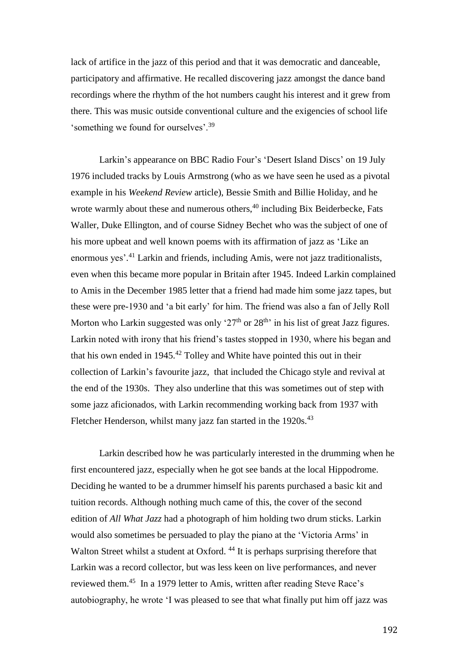lack of artifice in the jazz of this period and that it was democratic and danceable, participatory and affirmative. He recalled discovering jazz amongst the dance band recordings where the rhythm of the hot numbers caught his interest and it grew from there. This was music outside conventional culture and the exigencies of school life 'something we found for ourselves'.<sup>39</sup>

Larkin's appearance on BBC Radio Four's 'Desert Island Discs' on 19 July 1976 included tracks by Louis Armstrong (who as we have seen he used as a pivotal example in his *Weekend Review* article), Bessie Smith and Billie Holiday, and he wrote warmly about these and numerous others,<sup>40</sup> including Bix Beiderbecke, Fats Waller, Duke Ellington, and of course Sidney Bechet who was the subject of one of his more upbeat and well known poems with its affirmation of jazz as 'Like an enormous yes'. <sup>41</sup> Larkin and friends, including Amis, were not jazz traditionalists, even when this became more popular in Britain after 1945. Indeed Larkin complained to Amis in the December 1985 letter that a friend had made him some jazz tapes, but these were pre-1930 and 'a bit early' for him. The friend was also a fan of Jelly Roll Morton who Larkin suggested was only ' $27<sup>th</sup>$  or  $28<sup>th</sup>$ ' in his list of great Jazz figures. Larkin noted with irony that his friend's tastes stopped in 1930, where his began and that his own ended in  $1945<sup>42</sup>$  Tolley and White have pointed this out in their collection of Larkin's favourite jazz, that included the Chicago style and revival at the end of the 1930s. They also underline that this was sometimes out of step with some jazz aficionados, with Larkin recommending working back from 1937 with Fletcher Henderson, whilst many jazz fan started in the 1920s.<sup>43</sup>

Larkin described how he was particularly interested in the drumming when he first encountered jazz, especially when he got see bands at the local Hippodrome. Deciding he wanted to be a drummer himself his parents purchased a basic kit and tuition records. Although nothing much came of this, the cover of the second edition of *All What Jazz* had a photograph of him holding two drum sticks. Larkin would also sometimes be persuaded to play the piano at the 'Victoria Arms' in Walton Street whilst a student at Oxford. <sup>44</sup> It is perhaps surprising therefore that Larkin was a record collector, but was less keen on live performances, and never reviewed them.<sup>45</sup> In a 1979 letter to Amis, written after reading Steve Race's autobiography, he wrote 'I was pleased to see that what finally put him off jazz was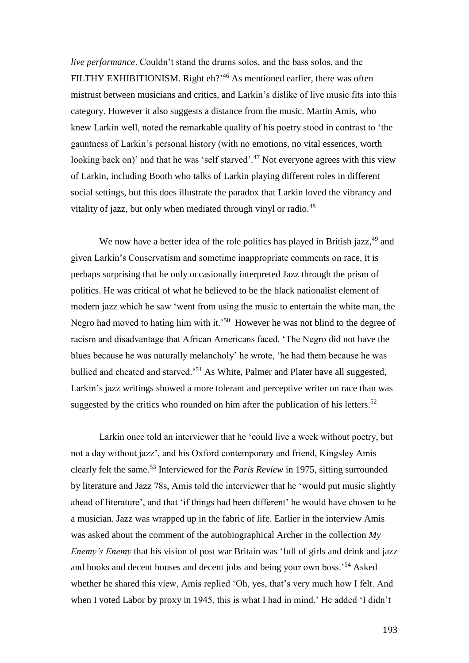*live performance*. Couldn't stand the drums solos, and the bass solos, and the FILTHY EXHIBITIONISM. Right eh?<sup>46</sup> As mentioned earlier, there was often mistrust between musicians and critics, and Larkin's dislike of live music fits into this category. However it also suggests a distance from the music. Martin Amis, who knew Larkin well, noted the remarkable quality of his poetry stood in contrast to 'the gauntness of Larkin's personal history (with no emotions, no vital essences, worth looking back on)' and that he was 'self starved'.<sup>47</sup> Not everyone agrees with this view of Larkin, including Booth who talks of Larkin playing different roles in different social settings, but this does illustrate the paradox that Larkin loved the vibrancy and vitality of jazz, but only when mediated through vinyl or radio.<sup>48</sup>

We now have a better idea of the role politics has played in British jazz,<sup>49</sup> and given Larkin's Conservatism and sometime inappropriate comments on race, it is perhaps surprising that he only occasionally interpreted Jazz through the prism of politics. He was critical of what he believed to be the black nationalist element of modern jazz which he saw 'went from using the music to entertain the white man, the Negro had moved to hating him with it.<sup>50</sup> However he was not blind to the degree of racism and disadvantage that African Americans faced. 'The Negro did not have the blues because he was naturally melancholy' he wrote, 'he had them because he was bullied and cheated and starved.'<sup>51</sup> As White, Palmer and Plater have all suggested, Larkin's jazz writings showed a more tolerant and perceptive writer on race than was suggested by the critics who rounded on him after the publication of his letters.<sup>52</sup>

Larkin once told an interviewer that he 'could live a week without poetry, but not a day without jazz', and his Oxford contemporary and friend, Kingsley Amis clearly felt the same.<sup>53</sup> Interviewed for the *Paris Review* in 1975, sitting surrounded by literature and Jazz 78s, Amis told the interviewer that he 'would put music slightly ahead of literature', and that 'if things had been different' he would have chosen to be a musician. Jazz was wrapped up in the fabric of life. Earlier in the interview Amis was asked about the comment of the autobiographical Archer in the collection *My Enemy's Enemy* that his vision of post war Britain was 'full of girls and drink and jazz and books and decent houses and decent jobs and being your own boss.'<sup>54</sup> Asked whether he shared this view, Amis replied 'Oh, yes, that's very much how I felt. And when I voted Labor by proxy in 1945, this is what I had in mind.' He added 'I didn't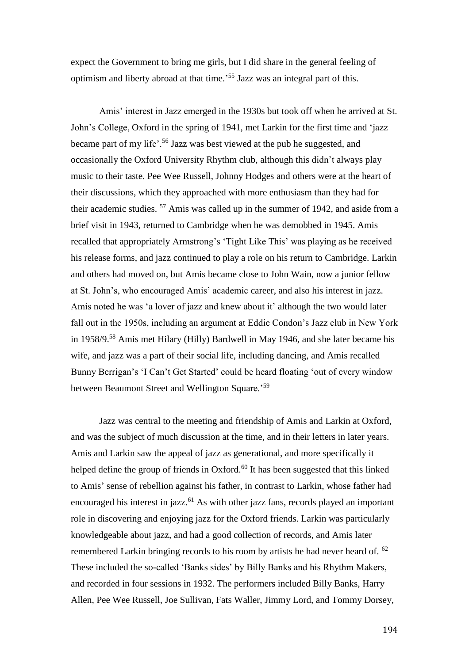expect the Government to bring me girls, but I did share in the general feeling of optimism and liberty abroad at that time.' <sup>55</sup> Jazz was an integral part of this.

Amis' interest in Jazz emerged in the 1930s but took off when he arrived at St. John's College, Oxford in the spring of 1941, met Larkin for the first time and 'jazz became part of my life'.<sup>56</sup> Jazz was best viewed at the pub he suggested, and occasionally the Oxford University Rhythm club, although this didn't always play music to their taste. Pee Wee Russell, Johnny Hodges and others were at the heart of their discussions, which they approached with more enthusiasm than they had for their academic studies. <sup>57</sup> Amis was called up in the summer of 1942, and aside from a brief visit in 1943, returned to Cambridge when he was demobbed in 1945. Amis recalled that appropriately Armstrong's 'Tight Like This' was playing as he received his release forms, and jazz continued to play a role on his return to Cambridge. Larkin and others had moved on, but Amis became close to John Wain, now a junior fellow at St. John's, who encouraged Amis' academic career, and also his interest in jazz. Amis noted he was 'a lover of jazz and knew about it' although the two would later fall out in the 1950s, including an argument at Eddie Condon's Jazz club in New York in 1958/9.<sup>58</sup> Amis met Hilary (Hilly) Bardwell in May 1946, and she later became his wife, and jazz was a part of their social life, including dancing, and Amis recalled Bunny Berrigan's 'I Can't Get Started' could be heard floating 'out of every window between Beaumont Street and Wellington Square.'<sup>59</sup>

Jazz was central to the meeting and friendship of Amis and Larkin at Oxford, and was the subject of much discussion at the time, and in their letters in later years. Amis and Larkin saw the appeal of jazz as generational, and more specifically it helped define the group of friends in Oxford.<sup>60</sup> It has been suggested that this linked to Amis' sense of rebellion against his father, in contrast to Larkin, whose father had encouraged his interest in jazz. $61$  As with other jazz fans, records played an important role in discovering and enjoying jazz for the Oxford friends. Larkin was particularly knowledgeable about jazz, and had a good collection of records, and Amis later remembered Larkin bringing records to his room by artists he had never heard of. <sup>62</sup> These included the so-called 'Banks sides' by Billy Banks and his Rhythm Makers, and recorded in four sessions in 1932. The performers included Billy Banks, Harry Allen, Pee Wee Russell, Joe Sullivan, Fats Waller, Jimmy Lord, and Tommy Dorsey,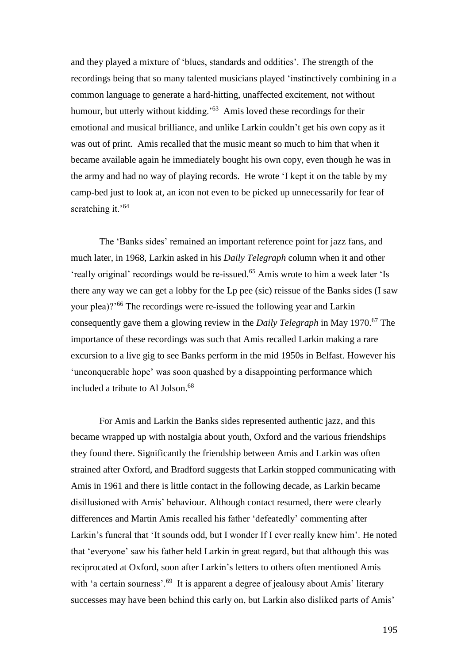and they played a mixture of 'blues, standards and oddities'. The strength of the recordings being that so many talented musicians played 'instinctively combining in a common language to generate a hard-hitting, unaffected excitement, not without humour, but utterly without kidding.<sup>'63</sup> Amis loved these recordings for their emotional and musical brilliance, and unlike Larkin couldn't get his own copy as it was out of print. Amis recalled that the music meant so much to him that when it became available again he immediately bought his own copy, even though he was in the army and had no way of playing records. He wrote 'I kept it on the table by my camp-bed just to look at, an icon not even to be picked up unnecessarily for fear of scratching it.<sup>'64</sup>

The 'Banks sides' remained an important reference point for jazz fans, and much later, in 1968, Larkin asked in his *Daily Telegraph* column when it and other 'really original' recordings would be re-issued.<sup>65</sup> Amis wrote to him a week later 'Is there any way we can get a lobby for the Lp pee (sic) reissue of the Banks sides (I saw your plea)?'<sup>66</sup> The recordings were re-issued the following year and Larkin consequently gave them a glowing review in the *Daily Telegraph* in May 1970.<sup>67</sup> The importance of these recordings was such that Amis recalled Larkin making a rare excursion to a live gig to see Banks perform in the mid 1950s in Belfast. However his 'unconquerable hope' was soon quashed by a disappointing performance which included a tribute to Al Jolson.<sup>68</sup>

For Amis and Larkin the Banks sides represented authentic jazz, and this became wrapped up with nostalgia about youth, Oxford and the various friendships they found there. Significantly the friendship between Amis and Larkin was often strained after Oxford, and Bradford suggests that Larkin stopped communicating with Amis in 1961 and there is little contact in the following decade, as Larkin became disillusioned with Amis' behaviour. Although contact resumed, there were clearly differences and Martin Amis recalled his father 'defeatedly' commenting after Larkin's funeral that 'It sounds odd, but I wonder If I ever really knew him'. He noted that 'everyone' saw his father held Larkin in great regard, but that although this was reciprocated at Oxford, soon after Larkin's letters to others often mentioned Amis with 'a certain sourness'.<sup>69</sup> It is apparent a degree of jealousy about Amis' literary successes may have been behind this early on, but Larkin also disliked parts of Amis'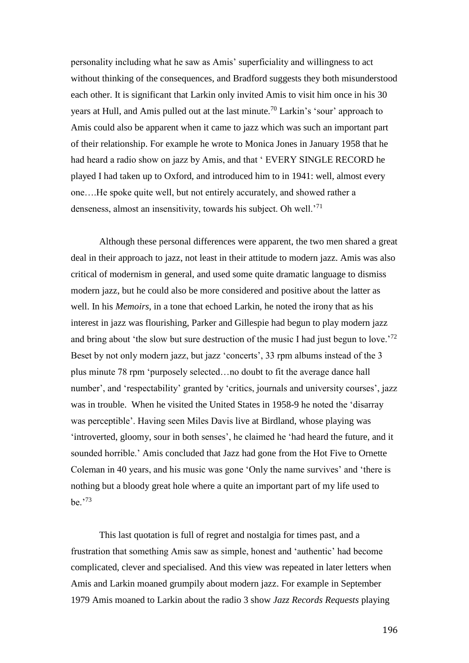personality including what he saw as Amis' superficiality and willingness to act without thinking of the consequences, and Bradford suggests they both misunderstood each other. It is significant that Larkin only invited Amis to visit him once in his 30 years at Hull, and Amis pulled out at the last minute.<sup>70</sup> Larkin's 'sour' approach to Amis could also be apparent when it came to jazz which was such an important part of their relationship. For example he wrote to Monica Jones in January 1958 that he had heard a radio show on jazz by Amis, and that ' EVERY SINGLE RECORD he played I had taken up to Oxford, and introduced him to in 1941: well, almost every one….He spoke quite well, but not entirely accurately, and showed rather a denseness, almost an insensitivity, towards his subject. Oh well.'<sup>71</sup>

Although these personal differences were apparent, the two men shared a great deal in their approach to jazz, not least in their attitude to modern jazz. Amis was also critical of modernism in general, and used some quite dramatic language to dismiss modern jazz, but he could also be more considered and positive about the latter as well. In his *Memoirs*, in a tone that echoed Larkin, he noted the irony that as his interest in jazz was flourishing, Parker and Gillespie had begun to play modern jazz and bring about 'the slow but sure destruction of the music I had just begun to love.<sup>'72</sup> Beset by not only modern jazz, but jazz 'concerts', 33 rpm albums instead of the 3 plus minute 78 rpm 'purposely selected…no doubt to fit the average dance hall number', and 'respectability' granted by 'critics, journals and university courses', jazz was in trouble. When he visited the United States in 1958-9 he noted the 'disarray was perceptible'. Having seen Miles Davis live at Birdland, whose playing was 'introverted, gloomy, sour in both senses', he claimed he 'had heard the future, and it sounded horrible.' Amis concluded that Jazz had gone from the Hot Five to Ornette Coleman in 40 years, and his music was gone 'Only the name survives' and 'there is nothing but a bloody great hole where a quite an important part of my life used to be.'<sup>73</sup>

This last quotation is full of regret and nostalgia for times past, and a frustration that something Amis saw as simple, honest and 'authentic' had become complicated, clever and specialised. And this view was repeated in later letters when Amis and Larkin moaned grumpily about modern jazz. For example in September 1979 Amis moaned to Larkin about the radio 3 show *Jazz Records Requests* playing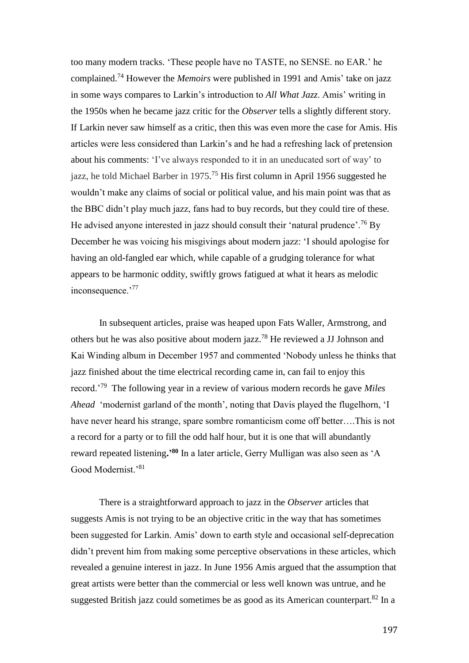too many modern tracks. 'These people have no TASTE, no SENSE. no EAR.' he complained. <sup>74</sup> However the *Memoirs* were published in 1991 and Amis' take on jazz in some ways compares to Larkin's introduction to *All What Jazz*. Amis' writing in the 1950s when he became jazz critic for the *Observer* tells a slightly different story. If Larkin never saw himself as a critic, then this was even more the case for Amis. His articles were less considered than Larkin's and he had a refreshing lack of pretension about his comments: 'I've always responded to it in an uneducated sort of way' to jazz, he told Michael Barber in 1975.<sup>75</sup> His first column in April 1956 suggested he wouldn't make any claims of social or political value, and his main point was that as the BBC didn't play much jazz, fans had to buy records, but they could tire of these. He advised anyone interested in jazz should consult their 'natural prudence'.<sup>76</sup> By December he was voicing his misgivings about modern jazz: 'I should apologise for having an old-fangled ear which, while capable of a grudging tolerance for what appears to be harmonic oddity, swiftly grows fatigued at what it hears as melodic inconsequence.'<sup>77</sup>

In subsequent articles, praise was heaped upon Fats Waller, Armstrong, and others but he was also positive about modern jazz.<sup>78</sup> He reviewed a JJ Johnson and Kai Winding album in December 1957 and commented 'Nobody unless he thinks that jazz finished about the time electrical recording came in, can fail to enjoy this record.'<sup>79</sup> The following year in a review of various modern records he gave *Miles Ahead* 'modernist garland of the month', noting that Davis played the flugelhorn, 'I have never heard his strange, spare sombre romanticism come off better….This is not a record for a party or to fill the odd half hour, but it is one that will abundantly reward repeated listening**.'<sup>80</sup>** In a later article, Gerry Mulligan was also seen as 'A Good Modernist.'<sup>81</sup>

There is a straightforward approach to jazz in the *Observer* articles that suggests Amis is not trying to be an objective critic in the way that has sometimes been suggested for Larkin. Amis' down to earth style and occasional self-deprecation didn't prevent him from making some perceptive observations in these articles, which revealed a genuine interest in jazz. In June 1956 Amis argued that the assumption that great artists were better than the commercial or less well known was untrue, and he suggested British jazz could sometimes be as good as its American counterpart. $82$  In a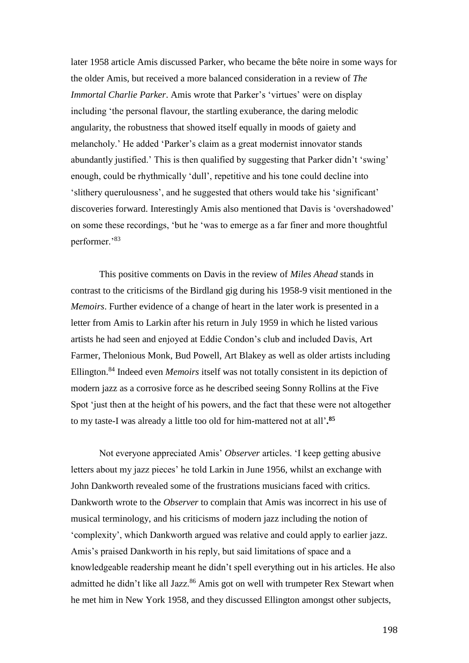later 1958 article Amis discussed Parker, who became the bête noire in some ways for the older Amis, but received a more balanced consideration in a review of *The Immortal Charlie Parker*. Amis wrote that Parker's 'virtues' were on display including 'the personal flavour, the startling exuberance, the daring melodic angularity, the robustness that showed itself equally in moods of gaiety and melancholy.' He added 'Parker's claim as a great modernist innovator stands abundantly justified.' This is then qualified by suggesting that Parker didn't 'swing' enough, could be rhythmically 'dull', repetitive and his tone could decline into 'slithery querulousness', and he suggested that others would take his 'significant' discoveries forward. Interestingly Amis also mentioned that Davis is 'overshadowed' on some these recordings, 'but he 'was to emerge as a far finer and more thoughtful performer.'<sup>83</sup>

This positive comments on Davis in the review of *Miles Ahead* stands in contrast to the criticisms of the Birdland gig during his 1958-9 visit mentioned in the *Memoirs*. Further evidence of a change of heart in the later work is presented in a letter from Amis to Larkin after his return in July 1959 in which he listed various artists he had seen and enjoyed at Eddie Condon's club and included Davis, Art Farmer, Thelonious Monk, Bud Powell, Art Blakey as well as older artists including Ellington.<sup>84</sup> Indeed even *Memoirs* itself was not totally consistent in its depiction of modern jazz as a corrosive force as he described seeing Sonny Rollins at the Five Spot 'just then at the height of his powers, and the fact that these were not altogether to my taste-I was already a little too old for him-mattered not at all'**. 85**

Not everyone appreciated Amis' *Observer* articles. 'I keep getting abusive letters about my jazz pieces' he told Larkin in June 1956, whilst an exchange with John Dankworth revealed some of the frustrations musicians faced with critics. Dankworth wrote to the *Observer* to complain that Amis was incorrect in his use of musical terminology, and his criticisms of modern jazz including the notion of 'complexity', which Dankworth argued was relative and could apply to earlier jazz. Amis's praised Dankworth in his reply, but said limitations of space and a knowledgeable readership meant he didn't spell everything out in his articles. He also admitted he didn't like all Jazz.<sup>86</sup> Amis got on well with trumpeter Rex Stewart when he met him in New York 1958, and they discussed Ellington amongst other subjects,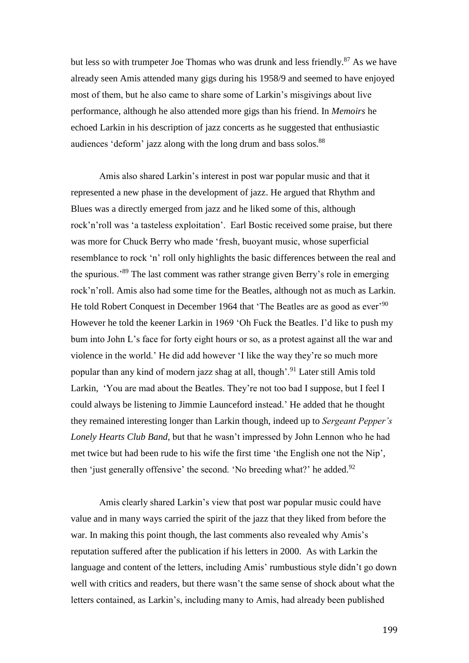but less so with trumpeter Joe Thomas who was drunk and less friendly.<sup>87</sup> As we have already seen Amis attended many gigs during his 1958/9 and seemed to have enjoyed most of them, but he also came to share some of Larkin's misgivings about live performance, although he also attended more gigs than his friend. In *Memoirs* he echoed Larkin in his description of jazz concerts as he suggested that enthusiastic audiences 'deform' jazz along with the long drum and bass solos.<sup>88</sup>

Amis also shared Larkin's interest in post war popular music and that it represented a new phase in the development of jazz. He argued that Rhythm and Blues was a directly emerged from jazz and he liked some of this, although rock'n'roll was 'a tasteless exploitation'. Earl Bostic received some praise, but there was more for Chuck Berry who made 'fresh, buoyant music, whose superficial resemblance to rock 'n' roll only highlights the basic differences between the real and the spurious.'<sup>89</sup> The last comment was rather strange given Berry's role in emerging rock'n'roll. Amis also had some time for the Beatles, although not as much as Larkin. He told Robert Conquest in December 1964 that 'The Beatles are as good as ever'<sup>90</sup> However he told the keener Larkin in 1969 'Oh Fuck the Beatles. I'd like to push my bum into John L's face for forty eight hours or so, as a protest against all the war and violence in the world.' He did add however 'I like the way they're so much more popular than any kind of modern jazz shag at all, though'.<sup>91</sup> Later still Amis told Larkin, 'You are mad about the Beatles. They're not too bad I suppose, but I feel I could always be listening to Jimmie Launceford instead.' He added that he thought they remained interesting longer than Larkin though, indeed up to *Sergeant Pepper's Lonely Hearts Club Band,* but that he wasn't impressed by John Lennon who he had met twice but had been rude to his wife the first time 'the English one not the Nip', then 'just generally offensive' the second. 'No breeding what?' he added. $92$ 

Amis clearly shared Larkin's view that post war popular music could have value and in many ways carried the spirit of the jazz that they liked from before the war. In making this point though, the last comments also revealed why Amis's reputation suffered after the publication if his letters in 2000. As with Larkin the language and content of the letters, including Amis' rumbustious style didn't go down well with critics and readers, but there wasn't the same sense of shock about what the letters contained, as Larkin's, including many to Amis, had already been published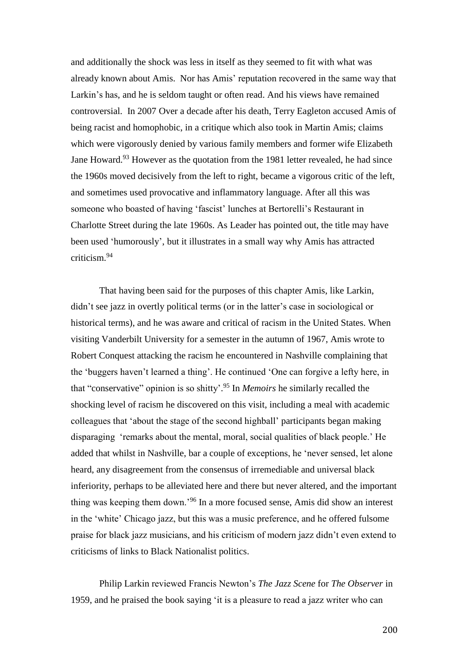and additionally the shock was less in itself as they seemed to fit with what was already known about Amis. Nor has Amis' reputation recovered in the same way that Larkin's has, and he is seldom taught or often read. And his views have remained controversial. In 2007 Over a decade after his death, Terry Eagleton accused Amis of being racist and homophobic, in a critique which also took in Martin Amis; claims which were vigorously denied by various family members and former wife Elizabeth Jane Howard.<sup>93</sup> However as the quotation from the 1981 letter revealed, he had since the 1960s moved decisively from the left to right, became a vigorous critic of the left, and sometimes used provocative and inflammatory language. After all this was someone who boasted of having 'fascist' lunches at Bertorelli's Restaurant in Charlotte Street during the late 1960s. As Leader has pointed out, the title may have been used 'humorously', but it illustrates in a small way why Amis has attracted criticism.<sup>94</sup>

That having been said for the purposes of this chapter Amis, like Larkin, didn't see jazz in overtly political terms (or in the latter's case in sociological or historical terms), and he was aware and critical of racism in the United States. When visiting Vanderbilt University for a semester in the autumn of 1967, Amis wrote to Robert Conquest attacking the racism he encountered in Nashville complaining that the 'buggers haven't learned a thing'. He continued 'One can forgive a lefty here, in that "conservative" opinion is so shitty'. <sup>95</sup> In *Memoirs* he similarly recalled the shocking level of racism he discovered on this visit, including a meal with academic colleagues that 'about the stage of the second highball' participants began making disparaging 'remarks about the mental, moral, social qualities of black people.' He added that whilst in Nashville, bar a couple of exceptions, he 'never sensed, let alone heard, any disagreement from the consensus of irremediable and universal black inferiority, perhaps to be alleviated here and there but never altered, and the important thing was keeping them down.'<sup>96</sup> In a more focused sense, Amis did show an interest in the 'white' Chicago jazz, but this was a music preference, and he offered fulsome praise for black jazz musicians, and his criticism of modern jazz didn't even extend to criticisms of links to Black Nationalist politics.

Philip Larkin reviewed Francis Newton's *The Jazz Scene* for *The Observer* in 1959, and he praised the book saying 'it is a pleasure to read a jazz writer who can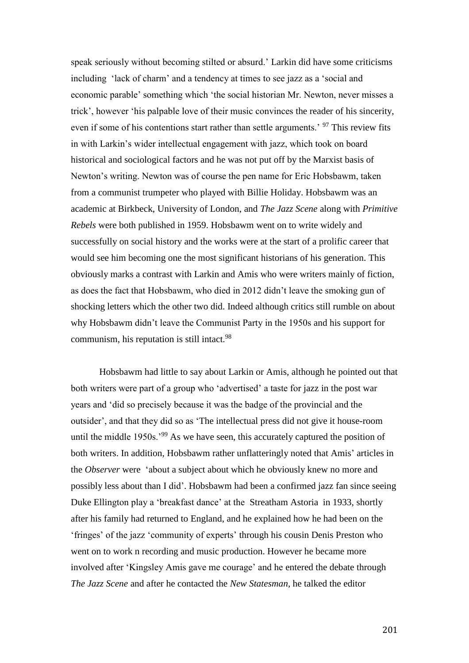speak seriously without becoming stilted or absurd.' Larkin did have some criticisms including 'lack of charm' and a tendency at times to see jazz as a 'social and economic parable' something which 'the social historian Mr. Newton, never misses a trick', however 'his palpable love of their music convinces the reader of his sincerity, even if some of his contentions start rather than settle arguments.<sup>'97</sup> This review fits in with Larkin's wider intellectual engagement with jazz, which took on board historical and sociological factors and he was not put off by the Marxist basis of Newton's writing. Newton was of course the pen name for Eric Hobsbawm, taken from a communist trumpeter who played with Billie Holiday. Hobsbawm was an academic at Birkbeck, University of London, and *The Jazz Scene* along with *Primitive Rebels* were both published in 1959. Hobsbawm went on to write widely and successfully on social history and the works were at the start of a prolific career that would see him becoming one the most significant historians of his generation. This obviously marks a contrast with Larkin and Amis who were writers mainly of fiction, as does the fact that Hobsbawm, who died in 2012 didn't leave the smoking gun of shocking letters which the other two did. Indeed although critics still rumble on about why Hobsbawm didn't leave the Communist Party in the 1950s and his support for communism, his reputation is still intact.<sup>98</sup>

Hobsbawm had little to say about Larkin or Amis, although he pointed out that both writers were part of a group who 'advertised' a taste for jazz in the post war years and 'did so precisely because it was the badge of the provincial and the outsider', and that they did so as 'The intellectual press did not give it house-room until the middle 1950s.<sup>'99</sup> As we have seen, this accurately captured the position of both writers. In addition, Hobsbawm rather unflatteringly noted that Amis' articles in the *Observer* were 'about a subject about which he obviously knew no more and possibly less about than I did'. Hobsbawm had been a confirmed jazz fan since seeing Duke Ellington play a 'breakfast dance' at the Streatham Astoria in 1933, shortly after his family had returned to England, and he explained how he had been on the 'fringes' of the jazz 'community of experts' through his cousin Denis Preston who went on to work n recording and music production. However he became more involved after 'Kingsley Amis gave me courage' and he entered the debate through *The Jazz Scene* and after he contacted the *New Statesman*, he talked the editor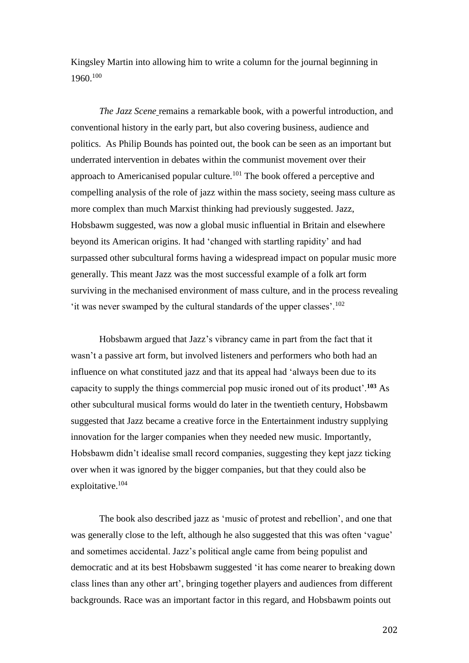Kingsley Martin into allowing him to write a column for the journal beginning in 1960.<sup>100</sup>

*The Jazz Scene* remains a remarkable book, with a powerful introduction, and conventional history in the early part, but also covering business, audience and politics. As Philip Bounds has pointed out, the book can be seen as an important but underrated intervention in debates within the communist movement over their approach to Americanised popular culture.<sup>101</sup> The book offered a perceptive and compelling analysis of the role of jazz within the mass society, seeing mass culture as more complex than much Marxist thinking had previously suggested. Jazz, Hobsbawm suggested, was now a global music influential in Britain and elsewhere beyond its American origins. It had 'changed with startling rapidity' and had surpassed other subcultural forms having a widespread impact on popular music more generally. This meant Jazz was the most successful example of a folk art form surviving in the mechanised environment of mass culture, and in the process revealing 'it was never swamped by the cultural standards of the upper classes'.<sup>102</sup>

Hobsbawm argued that Jazz's vibrancy came in part from the fact that it wasn't a passive art form, but involved listeners and performers who both had an influence on what constituted jazz and that its appeal had 'always been due to its capacity to supply the things commercial pop music ironed out of its product'.**<sup>103</sup>** As other subcultural musical forms would do later in the twentieth century, Hobsbawm suggested that Jazz became a creative force in the Entertainment industry supplying innovation for the larger companies when they needed new music. Importantly, Hobsbawm didn't idealise small record companies, suggesting they kept jazz ticking over when it was ignored by the bigger companies, but that they could also be exploitative.<sup>104</sup>

The book also described jazz as 'music of protest and rebellion', and one that was generally close to the left, although he also suggested that this was often 'vague' and sometimes accidental. Jazz's political angle came from being populist and democratic and at its best Hobsbawm suggested 'it has come nearer to breaking down class lines than any other art', bringing together players and audiences from different backgrounds. Race was an important factor in this regard, and Hobsbawm points out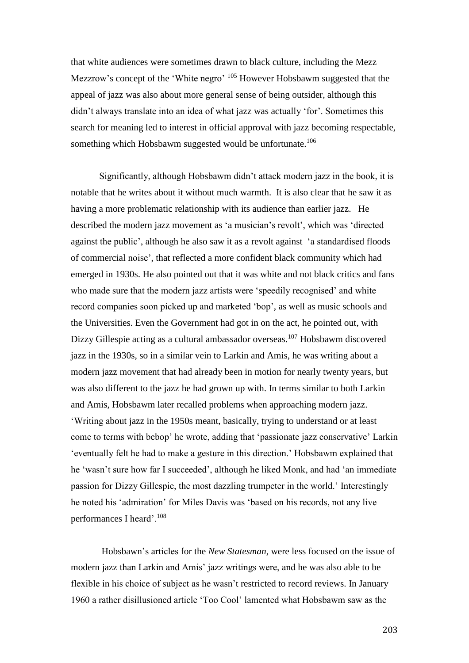that white audiences were sometimes drawn to black culture, including the Mezz Mezzrow's concept of the 'White negro' <sup>105</sup> However Hobsbawm suggested that the appeal of jazz was also about more general sense of being outsider, although this didn't always translate into an idea of what jazz was actually 'for'. Sometimes this search for meaning led to interest in official approval with jazz becoming respectable, something which Hobsbawm suggested would be unfortunate.<sup>106</sup>

Significantly, although Hobsbawm didn't attack modern jazz in the book, it is notable that he writes about it without much warmth. It is also clear that he saw it as having a more problematic relationship with its audience than earlier jazz. He described the modern jazz movement as 'a musician's revolt', which was 'directed against the public', although he also saw it as a revolt against 'a standardised floods of commercial noise', that reflected a more confident black community which had emerged in 1930s. He also pointed out that it was white and not black critics and fans who made sure that the modern jazz artists were 'speedily recognised' and white record companies soon picked up and marketed 'bop', as well as music schools and the Universities. Even the Government had got in on the act, he pointed out, with Dizzy Gillespie acting as a cultural ambassador overseas. <sup>107</sup> Hobsbawm discovered jazz in the 1930s, so in a similar vein to Larkin and Amis, he was writing about a modern jazz movement that had already been in motion for nearly twenty years, but was also different to the jazz he had grown up with. In terms similar to both Larkin and Amis, Hobsbawm later recalled problems when approaching modern jazz. 'Writing about jazz in the 1950s meant, basically, trying to understand or at least come to terms with bebop' he wrote, adding that 'passionate jazz conservative' Larkin 'eventually felt he had to make a gesture in this direction.' Hobsbawm explained that he 'wasn't sure how far I succeeded', although he liked Monk, and had 'an immediate passion for Dizzy Gillespie, the most dazzling trumpeter in the world.' Interestingly he noted his 'admiration' for Miles Davis was 'based on his records, not any live performances I heard'.<sup>108</sup>

Hobsbawn's articles for the *New Statesman*, were less focused on the issue of modern jazz than Larkin and Amis' jazz writings were, and he was also able to be flexible in his choice of subject as he wasn't restricted to record reviews. In January 1960 a rather disillusioned article 'Too Cool' lamented what Hobsbawm saw as the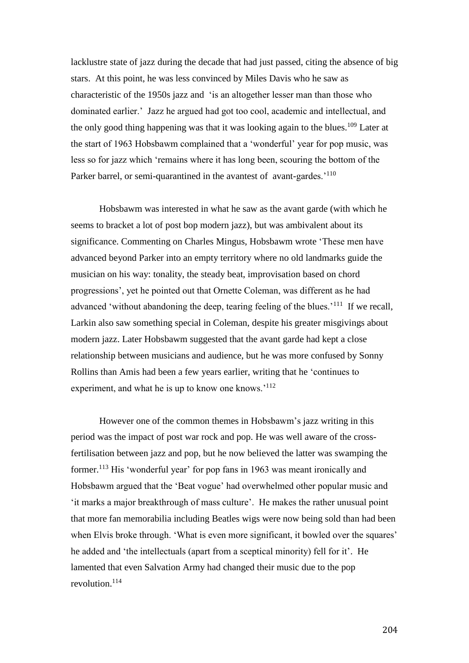lacklustre state of jazz during the decade that had just passed, citing the absence of big stars. At this point, he was less convinced by Miles Davis who he saw as characteristic of the 1950s jazz and 'is an altogether lesser man than those who dominated earlier.' Jazz he argued had got too cool, academic and intellectual, and the only good thing happening was that it was looking again to the blues.<sup>109</sup> Later at the start of 1963 Hobsbawm complained that a 'wonderful' year for pop music, was less so for jazz which 'remains where it has long been, scouring the bottom of the Parker barrel, or semi-quarantined in the avantest of avant-gardes.<sup>'110</sup>

Hobsbawm was interested in what he saw as the avant garde (with which he seems to bracket a lot of post bop modern jazz), but was ambivalent about its significance. Commenting on Charles Mingus, Hobsbawm wrote 'These men have advanced beyond Parker into an empty territory where no old landmarks guide the musician on his way: tonality, the steady beat, improvisation based on chord progressions', yet he pointed out that Ornette Coleman, was different as he had advanced 'without abandoning the deep, tearing feeling of the blues.<sup>'111</sup> If we recall, Larkin also saw something special in Coleman, despite his greater misgivings about modern jazz. Later Hobsbawm suggested that the avant garde had kept a close relationship between musicians and audience, but he was more confused by Sonny Rollins than Amis had been a few years earlier, writing that he 'continues to experiment, and what he is up to know one knows.<sup>'112</sup>

However one of the common themes in Hobsbawm's jazz writing in this period was the impact of post war rock and pop. He was well aware of the crossfertilisation between jazz and pop, but he now believed the latter was swamping the former.<sup>113</sup> His 'wonderful year' for pop fans in 1963 was meant ironically and Hobsbawm argued that the 'Beat vogue' had overwhelmed other popular music and 'it marks a major breakthrough of mass culture'. He makes the rather unusual point that more fan memorabilia including Beatles wigs were now being sold than had been when Elvis broke through. 'What is even more significant, it bowled over the squares' he added and 'the intellectuals (apart from a sceptical minority) fell for it'. He lamented that even Salvation Army had changed their music due to the pop revolution. 114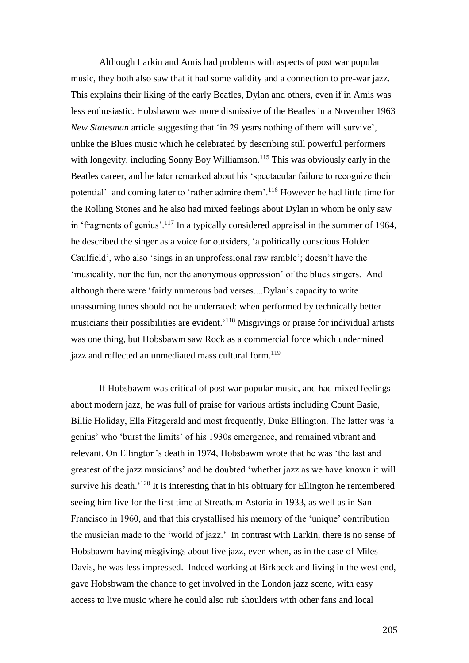Although Larkin and Amis had problems with aspects of post war popular music, they both also saw that it had some validity and a connection to pre-war jazz. This explains their liking of the early Beatles, Dylan and others, even if in Amis was less enthusiastic. Hobsbawm was more dismissive of the Beatles in a November 1963 *New Statesman* article suggesting that 'in 29 years nothing of them will survive', unlike the Blues music which he celebrated by describing still powerful performers with longevity, including Sonny Boy Williamson.<sup>115</sup> This was obviously early in the Beatles career, and he later remarked about his 'spectacular failure to recognize their potential' and coming later to 'rather admire them'.<sup>116</sup> However he had little time for the Rolling Stones and he also had mixed feelings about Dylan in whom he only saw in 'fragments of genius'.<sup>117</sup> In a typically considered appraisal in the summer of 1964, he described the singer as a voice for outsiders, 'a politically conscious Holden Caulfield', who also 'sings in an unprofessional raw ramble'; doesn't have the 'musicality, nor the fun, nor the anonymous oppression' of the blues singers. And although there were 'fairly numerous bad verses....Dylan's capacity to write unassuming tunes should not be underrated: when performed by technically better musicians their possibilities are evident.<sup>'118</sup> Misgivings or praise for individual artists was one thing, but Hobsbawm saw Rock as a commercial force which undermined jazz and reflected an unmediated mass cultural form.<sup>119</sup>

If Hobsbawm was critical of post war popular music, and had mixed feelings about modern jazz, he was full of praise for various artists including Count Basie, Billie Holiday, Ella Fitzgerald and most frequently, Duke Ellington. The latter was 'a genius' who 'burst the limits' of his 1930s emergence, and remained vibrant and relevant. On Ellington's death in 1974, Hobsbawm wrote that he was 'the last and greatest of the jazz musicians' and he doubted 'whether jazz as we have known it will survive his death.<sup> $120$ </sup> It is interesting that in his obituary for Ellington he remembered seeing him live for the first time at Streatham Astoria in 1933, as well as in San Francisco in 1960, and that this crystallised his memory of the 'unique' contribution the musician made to the 'world of jazz.' In contrast with Larkin, there is no sense of Hobsbawm having misgivings about live jazz, even when, as in the case of Miles Davis, he was less impressed. Indeed working at Birkbeck and living in the west end, gave Hobsbwam the chance to get involved in the London jazz scene, with easy access to live music where he could also rub shoulders with other fans and local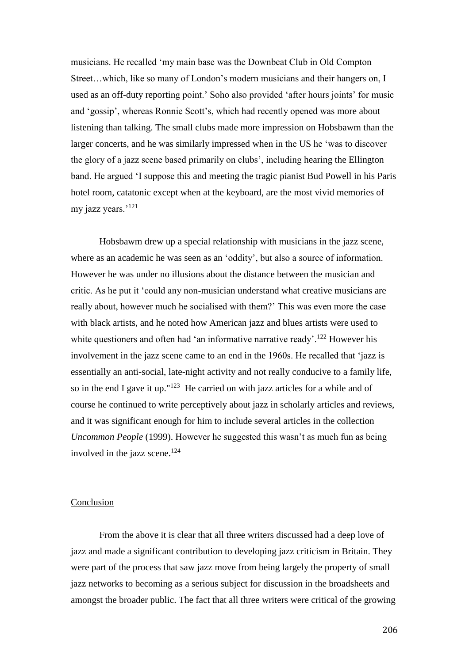musicians. He recalled 'my main base was the Downbeat Club in Old Compton Street…which, like so many of London's modern musicians and their hangers on, I used as an off-duty reporting point.' Soho also provided 'after hours joints' for music and 'gossip', whereas Ronnie Scott's, which had recently opened was more about listening than talking. The small clubs made more impression on Hobsbawm than the larger concerts, and he was similarly impressed when in the US he 'was to discover the glory of a jazz scene based primarily on clubs', including hearing the Ellington band. He argued 'I suppose this and meeting the tragic pianist Bud Powell in his Paris hotel room, catatonic except when at the keyboard, are the most vivid memories of my jazz years.'<sup>121</sup>

Hobsbawm drew up a special relationship with musicians in the jazz scene, where as an academic he was seen as an 'oddity', but also a source of information. However he was under no illusions about the distance between the musician and critic. As he put it 'could any non-musician understand what creative musicians are really about, however much he socialised with them?' This was even more the case with black artists, and he noted how American jazz and blues artists were used to white questioners and often had 'an informative narrative ready'.<sup>122</sup> However his involvement in the jazz scene came to an end in the 1960s. He recalled that 'jazz is essentially an anti-social, late-night activity and not really conducive to a family life, so in the end I gave it up."<sup>123</sup> He carried on with jazz articles for a while and of course he continued to write perceptively about jazz in scholarly articles and reviews, and it was significant enough for him to include several articles in the collection *Uncommon People* (1999). However he suggested this wasn't as much fun as being involved in the jazz scene. $124$ 

#### **Conclusion**

From the above it is clear that all three writers discussed had a deep love of jazz and made a significant contribution to developing jazz criticism in Britain. They were part of the process that saw jazz move from being largely the property of small jazz networks to becoming as a serious subject for discussion in the broadsheets and amongst the broader public. The fact that all three writers were critical of the growing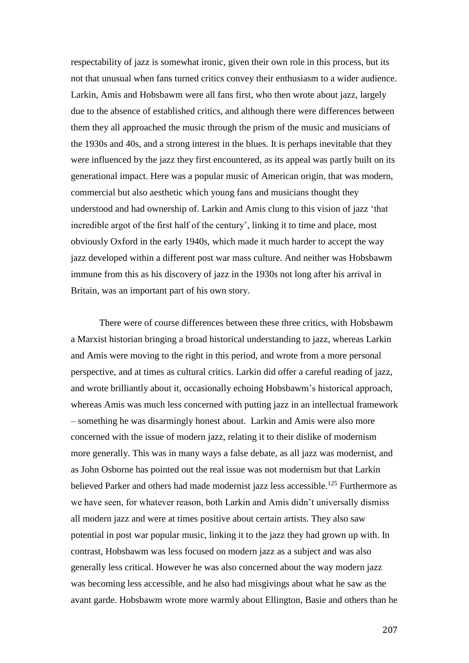respectability of jazz is somewhat ironic, given their own role in this process, but its not that unusual when fans turned critics convey their enthusiasm to a wider audience. Larkin, Amis and Hobsbawm were all fans first, who then wrote about jazz, largely due to the absence of established critics, and although there were differences between them they all approached the music through the prism of the music and musicians of the 1930s and 40s, and a strong interest in the blues. It is perhaps inevitable that they were influenced by the jazz they first encountered, as its appeal was partly built on its generational impact. Here was a popular music of American origin, that was modern, commercial but also aesthetic which young fans and musicians thought they understood and had ownership of. Larkin and Amis clung to this vision of jazz 'that incredible argot of the first half of the century', linking it to time and place, most obviously Oxford in the early 1940s, which made it much harder to accept the way jazz developed within a different post war mass culture. And neither was Hobsbawm immune from this as his discovery of jazz in the 1930s not long after his arrival in Britain, was an important part of his own story.

There were of course differences between these three critics, with Hobsbawm a Marxist historian bringing a broad historical understanding to jazz, whereas Larkin and Amis were moving to the right in this period, and wrote from a more personal perspective, and at times as cultural critics. Larkin did offer a careful reading of jazz, and wrote brilliantly about it, occasionally echoing Hobsbawm's historical approach, whereas Amis was much less concerned with putting jazz in an intellectual framework – something he was disarmingly honest about. Larkin and Amis were also more concerned with the issue of modern jazz, relating it to their dislike of modernism more generally. This was in many ways a false debate, as all jazz was modernist, and as John Osborne has pointed out the real issue was not modernism but that Larkin believed Parker and others had made modernist jazz less accessible.<sup>125</sup> Furthermore as we have seen, for whatever reason, both Larkin and Amis didn't universally dismiss all modern jazz and were at times positive about certain artists. They also saw potential in post war popular music, linking it to the jazz they had grown up with. In contrast, Hobsbawm was less focused on modern jazz as a subject and was also generally less critical. However he was also concerned about the way modern jazz was becoming less accessible, and he also had misgivings about what he saw as the avant garde. Hobsbawm wrote more warmly about Ellington, Basie and others than he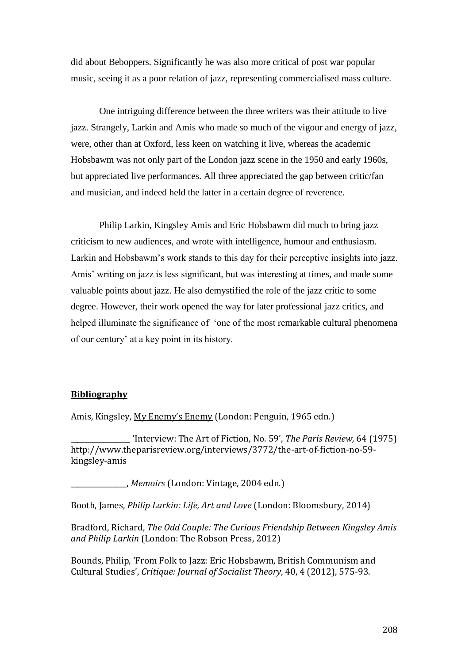did about Beboppers. Significantly he was also more critical of post war popular music, seeing it as a poor relation of jazz, representing commercialised mass culture.

One intriguing difference between the three writers was their attitude to live jazz. Strangely, Larkin and Amis who made so much of the vigour and energy of jazz, were, other than at Oxford, less keen on watching it live, whereas the academic Hobsbawm was not only part of the London jazz scene in the 1950 and early 1960s, but appreciated live performances. All three appreciated the gap between critic/fan and musician, and indeed held the latter in a certain degree of reverence.

Philip Larkin, Kingsley Amis and Eric Hobsbawm did much to bring jazz criticism to new audiences, and wrote with intelligence, humour and enthusiasm. Larkin and Hobsbawm's work stands to this day for their perceptive insights into jazz. Amis' writing on jazz is less significant, but was interesting at times, and made some valuable points about jazz. He also demystified the role of the jazz critic to some degree. However, their work opened the way for later professional jazz critics, and helped illuminate the significance of 'one of the most remarkable cultural phenomena of our century' at a key point in its history.

## **Bibliography**

Amis, Kingsley, My Enemy's Enemy (London: Penguin, 1965 edn.)

\_\_\_\_\_\_\_\_\_\_\_\_\_\_\_\_\_ 'Interview: The Art of Fiction, No. 59', *The Paris Review,* 64 (1975) http://www.theparisreview.org/interviews/3772/the-art-of-fiction-no-59 kingsley-amis

\_\_\_\_\_\_\_\_\_\_\_\_\_\_\_\_, *Memoirs* (London: Vintage, 2004 edn.)

Booth, James, *Philip Larkin: Life, Art and Love* (London: Bloomsbury, 2014)

Bradford, Richard, *The Odd Couple: The Curious Friendship Between Kingsley Amis and Philip Larkin* (London: The Robson Press, 2012)

Bounds, Philip, 'From Folk to Jazz: Eric Hobsbawm, British Communism and Cultural Studies', *Critique: Journal of Socialist Theory*, 40, 4 (2012), 575-93.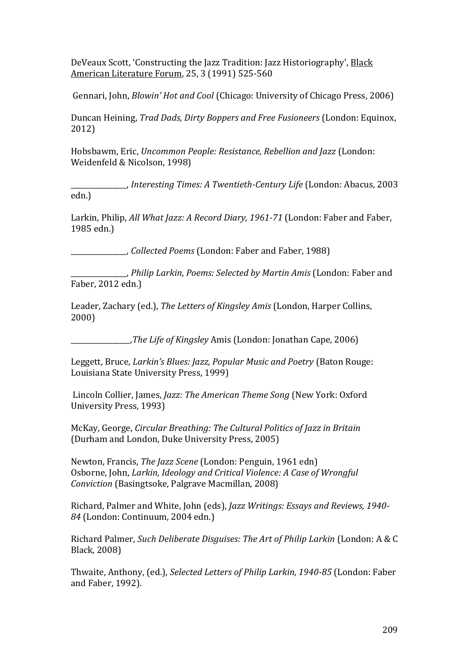DeVeaux Scott, 'Constructing the Jazz Tradition: Jazz Historiography', Black American Literature Forum, 25, 3 (1991) 525-560

Gennari, John, *Blowin' Hot and Cool* (Chicago: University of Chicago Press, 2006)

Duncan Heining, *Trad Dads, Dirty Boppers and Free Fusioneers* (London: Equinox, 2012)

Hobsbawm, Eric, *Uncommon People: Resistance, Rebellion and Jazz* (London: Weidenfeld & Nicolson, 1998)

\_\_\_\_\_\_\_\_\_\_\_\_\_\_\_\_, *Interesting Times: A Twentieth-Century Life* (London: Abacus, 2003 edn.)

Larkin, Philip, *All What Jazz: A Record Diary, 1961-71* (London: Faber and Faber, 1985 edn.)

\_\_\_\_\_\_\_\_\_\_\_\_\_\_\_\_, *Collected Poems* (London: Faber and Faber, 1988)

\_\_\_\_\_\_\_\_\_\_\_\_\_\_\_\_, *Philip Larkin*, *Poems: Selected by Martin Amis* (London: Faber and Faber, 2012 edn.)

Leader, Zachary (ed.), *The Letters of Kingsley Amis* (London, Harper Collins, 2000)

\_\_\_\_\_\_\_\_\_\_\_\_\_\_\_\_\_,*The Life of Kingsley* Amis (London: Jonathan Cape, 2006)

Leggett, Bruce, *Larkin's Blues: Jazz, Popular Music and Poetry* (Baton Rouge: Louisiana State University Press, 1999)

Lincoln Collier, James, *Jazz: The American Theme Song* (New York: Oxford University Press, 1993)

McKay, George, *Circular Breathing: The Cultural Politics of Jazz in Britain*  (Durham and London, Duke University Press, 2005)

Newton, Francis, *The Jazz Scene* (London: Penguin, 1961 edn) Osborne, John, *Larkin, Ideology and Critical Violence: A Case of Wrongful Conviction* (Basingtsoke, Palgrave Macmillan, 2008)

Richard, Palmer and White, John (eds), *Jazz Writings: Essays and Reviews, 1940- 84* (London: Continuum, 2004 edn.)

Richard Palmer, *Such Deliberate Disguises: The Art of Philip Larkin* (London: A & C Black, 2008)

Thwaite, Anthony, (ed.), *Selected Letters of Philip Larkin, 1940-85* (London: Faber and Faber, 1992).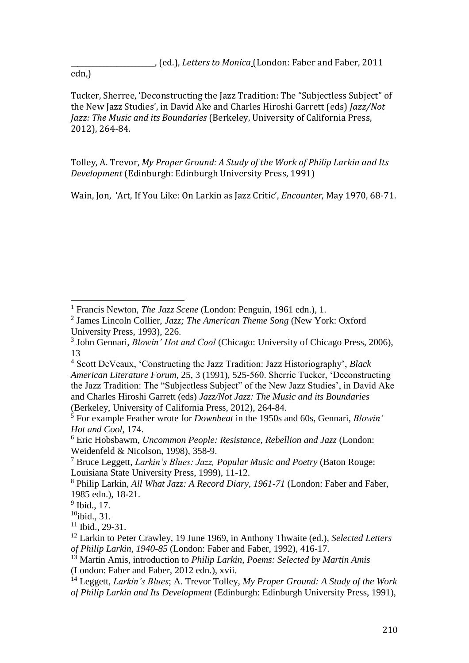edn,)

Tucker, Sherree, 'Deconstructing the Jazz Tradition: The "Subjectless Subject" of the New Jazz Studies', in David Ake and Charles Hiroshi Garrett (eds) *Jazz/Not Jazz: The Music and its Boundaries* (Berkeley, University of California Press, 2012), 264-84.

Tolley, A. Trevor, *My Proper Ground: A Study of the Work of Philip Larkin and Its Development* (Edinburgh: Edinburgh University Press, 1991)

Wain, Jon, 'Art, If You Like: On Larkin as Jazz Critic', *Encounter*, May 1970, 68-71.

 $\overline{a}$ <sup>1</sup> Francis Newton, *The Jazz Scene* (London: Penguin, 1961 edn.), 1.

<sup>2</sup> James Lincoln Collier, *Jazz; The American Theme Song* (New York: Oxford University Press, 1993), 226.

<sup>3</sup> John Gennari, *Blowin' Hot and Cool* (Chicago: University of Chicago Press, 2006), 13

<sup>4</sup> Scott DeVeaux, 'Constructing the Jazz Tradition: Jazz Historiography', *Black American Literature Forum*, 25, 3 (1991), 525-560. Sherrie Tucker, 'Deconstructing the Jazz Tradition: The "Subjectless Subject" of the New Jazz Studies', in David Ake and Charles Hiroshi Garrett (eds) *Jazz/Not Jazz: The Music and its Boundaries*  (Berkeley, University of California Press, 2012), 264-84.

<sup>5</sup> For example Feather wrote for *Downbeat* in the 1950s and 60s, Gennari, *Blowin' Hot and Cool*, 174.

<sup>6</sup> Eric Hobsbawm, *Uncommon People: Resistance, Rebellion and Jazz* (London: Weidenfeld & Nicolson, 1998), 358-9.

<sup>7</sup> Bruce Leggett, *Larkin's Blues: Jazz, Popular Music and Poetry* (Baton Rouge: Louisiana State University Press, 1999), 11-12.

<sup>8</sup> Philip Larkin, *All What Jazz: A Record Diary, 1961-71* (London: Faber and Faber, 1985 edn.), 18-21.

<sup>&</sup>lt;sup>9</sup> Ibid., 17.

 $10$ ibid., 31.

 $11$  Ibid., 29-31.

<sup>12</sup> Larkin to Peter Crawley, 19 June 1969, in Anthony Thwaite (ed.), *Selected Letters of Philip Larkin, 1940-85* (London: Faber and Faber, 1992), 416-17.

<sup>13</sup> Martin Amis, introduction to *Philip Larkin*, *Poems: Selected by Martin Amis* (London: Faber and Faber, 2012 edn.), xvii.

<sup>14</sup> Leggett, *Larkin's Blues*; A. Trevor Tolley, *My Proper Ground: A Study of the Work of Philip Larkin and Its Development* (Edinburgh: Edinburgh University Press, 1991),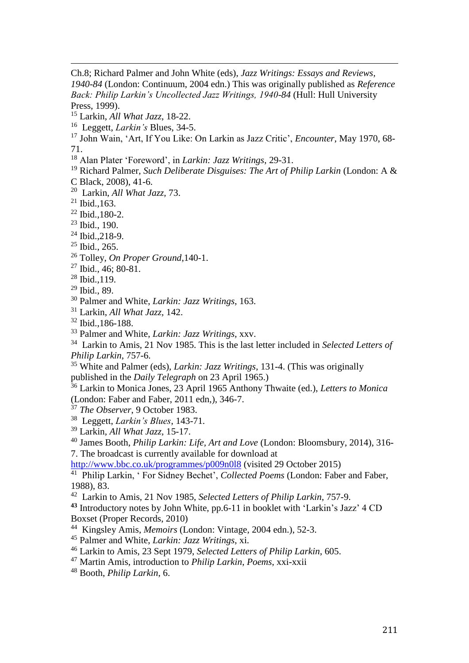$\ddot{ }$ Ch.8; Richard Palmer and John White (eds), *Jazz Writings: Essays and Reviews, 1940-84* (London: Continuum, 2004 edn.) This was originally published as *Reference Back: Philip Larkin's Uncollected Jazz Writings, 1940-84* (Hull: Hull University Press, 1999).

Larkin, *All What Jazz*, 18-22.

Leggett, *Larkin's* Blues, 34-5.

 John Wain, 'Art, If You Like: On Larkin as Jazz Critic', *Encounter*, May 1970, 68- 71.

Alan Plater 'Foreword', in *Larkin: Jazz Writings*, 29-31.

 Richard Palmer, *Such Deliberate Disguises: The Art of Philip Larkin* (London: A & C Black, 2008), 41-6.

Larkin, *All What Jazz,* 73.

Ibid.,163.

Ibid., 180-2.

Ibid., 190.

Ibid.,218-9.

Ibid., 265.

Tolley, *On Proper Ground*,140-1.

<sup>27</sup> Ibid., 46; 80-81.

Ibid., 119.

Ibid., 89.

Palmer and White, *Larkin: Jazz Writings*, 163.

Larkin, *All What Jazz,* 142.

Ibid.,186-188.

Palmer and White, *Larkin: Jazz Writings*, xxv.

 Larkin to Amis, 21 Nov 1985. This is the last letter included in *Selected Letters of Philip Larkin*, 757-6.

 White and Palmer (eds), *Larkin: Jazz Writings*, 131-4. (This was originally published in the *Daily Telegraph* on 23 April 1965.)

 Larkin to Monica Jones, 23 April 1965 Anthony Thwaite (ed.), *Letters to Monica* (London: Faber and Faber, 2011 edn,), 346-7.

*The Observer*, 9 October 1983.

Leggett, *Larkin's Blues*, 143-71.

Larkin, *All What Jazz,* 15-17.

 James Booth, *Philip Larkin: Life, Art and Love* (London: Bloomsbury, 2014), 316- 7. The broadcast is currently available for download at

<http://www.bbc.co.uk/programmes/p009n0l8> (visited 29 October 2015)

 Philip Larkin, ' For Sidney Bechet', *Collected Poems* (London: Faber and Faber, 1988), 83.

Larkin to Amis, 21 Nov 1985, *Selected Letters of Philip Larkin*, 757-9.

 Introductory notes by John White, pp.6-11 in booklet with 'Larkin's Jazz' 4 CD Boxset (Proper Records, 2010)

Kingsley Amis, *Memoirs* (London: Vintage, 2004 edn.), 52-3.

Palmer and White, *Larkin: Jazz Writings*, xi.

Larkin to Amis, 23 Sept 1979, *Selected Letters of Philip Larkin*, 605.

Martin Amis, introduction to *Philip Larkin*, *Poems*, xxi-xxii

Booth, *Philip Larkin*, 6.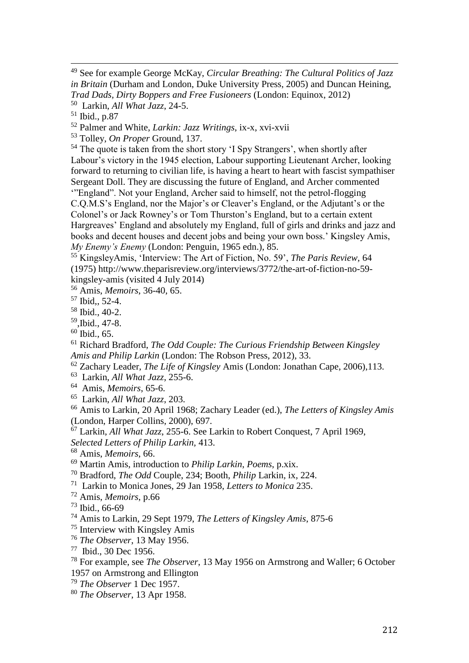$\ddot{ }$  See for example George McKay, *Circular Breathing: The Cultural Politics of Jazz in Britain* (Durham and London, Duke University Press, 2005) and Duncan Heining, *Trad Dads, Dirty Boppers and Free Fusioneers* (London: Equinox, 2012)

Larkin, *All What Jazz*, 24-5.

Ibid., p.87

Palmer and White, *Larkin: Jazz Writings*, ix-x, xvi-xvii

Tolley, *On Proper* Ground, 137.

<sup>54</sup> The quote is taken from the short story 'I Spy Strangers', when shortly after Labour's victory in the 1945 election, Labour supporting Lieutenant Archer, looking forward to returning to civilian life, is having a heart to heart with fascist sympathiser Sergeant Doll. They are discussing the future of England, and Archer commented '"England". Not your England, Archer said to himself, not the petrol-flogging C.Q.M.S's England, nor the Major's or Cleaver's England, or the Adjutant's or the Colonel's or Jack Rowney's or Tom Thurston's England, but to a certain extent Hargreaves' England and absolutely my England, full of girls and drinks and jazz and books and decent houses and decent jobs and being your own boss.' Kingsley Amis, *My Enemy's Enemy* (London: Penguin, 1965 edn.), 85.

 KingsleyAmis, 'Interview: The Art of Fiction, No. 59', *The Paris Review,* 64 (1975) http://www.theparisreview.org/interviews/3772/the-art-of-fiction-no-59 kingsley-amis (visited 4 July 2014)

Amis, *Memoirs*, 36-40, 65.

Ibid,, 52-4.

Ibid., 40-2.

,Ibid., 47-8.

Ibid., 65.

 Richard Bradford, *The Odd Couple: The Curious Friendship Between Kingsley Amis and Philip Larkin* (London: The Robson Press, 2012), 33.

Zachary Leader, *The Life of Kingsley* Amis (London: Jonathan Cape, 2006),113.

Larkin, *All What Jazz*, 255-6.

Amis, *Memoirs*, 65-6.

Larkin, *All What Jazz*, 203.

 Amis to Larkin, 20 April 1968; Zachary Leader (ed.), *The Letters of Kingsley Amis* (London, Harper Collins, 2000), 697.

Larkin, *All What Jazz*, 255-6. See Larkin to Robert Conquest, 7 April 1969,

*Selected Letters of Philip Larkin,* 413.

Amis, *Memoirs*, 66.

Martin Amis, introduction to *Philip Larkin*, *Poems*, p.xix.

Bradford, *The Odd* Couple, 234; Booth, *Philip* Larkin, ix, 224.

Larkin to Monica Jones, 29 Jan 1958, *Letters to Monica* 235.

Amis, *Memoirs*, p.66

Ibid., 66-69

Amis to Larkin, 29 Sept 1979, *The Letters of Kingsley Amis*, 875-6

Interview with Kingsley Amis

*The Observer*, 13 May 1956.

Ibid., 30 Dec 1956.

 For example, see *The Observer*, 13 May 1956 on Armstrong and Waller; 6 October 1957 on Armstrong and Ellington

*The Observer* 1 Dec 1957.

*The Observer*, 13 Apr 1958.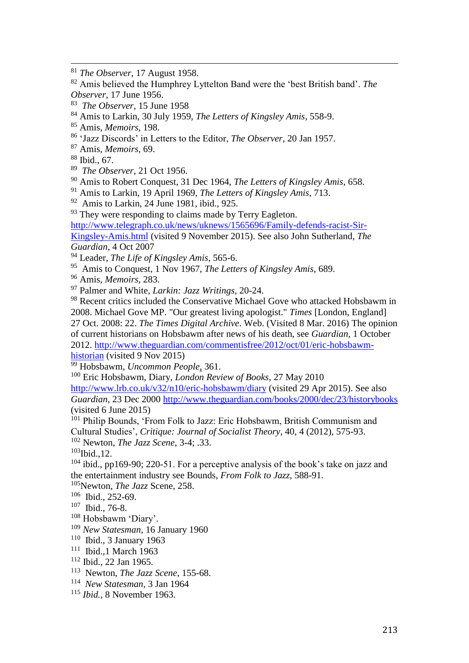- *The Observer*, 15 June 1958
- Amis to Larkin, 30 July 1959, *The Letters of Kingsley Amis*, 558-9.
- Amis, *Memoirs*, 198.
- 'Jazz Discords' in Letters to the Editor, *The Observer*, 20 Jan 1957.
- Amis*, Memoirs*, 69.

Ibid., 67.

 $\ddot{ }$ 

- *The Observer*, 21 Oct 1956.
- Amis to Robert Conquest, 31 Dec 1964, *The Letters of Kingsley Amis*, 658.
- Amis to Larkin, 19 April 1969, *The Letters of Kingsley Amis*, 713.
- Amis to Larkin, 24 June 1981, ibid., 925.

<sup>93</sup> They were responding to claims made by Terry Eagleton.

[http://www.telegraph.co.uk/news/uknews/1565696/Family-defends-racist-Sir-](http://www.telegraph.co.uk/news/uknews/1565696/Family-defends-racist-Sir-Kingsley-Amis.html)[Kingsley-Amis.html](http://www.telegraph.co.uk/news/uknews/1565696/Family-defends-racist-Sir-Kingsley-Amis.html) (visited 9 November 2015). See also John Sutherland, *The Guardian*, 4 Oct 2007

- Leader, *The Life of Kingsley Amis*, 565-6.
- Amis to Conquest, 1 Nov 1967, *The Letters of Kingsley Amis*, 689.
- Amis, *Memoirs*, 283.

Palmer and White, *Larkin: Jazz Writings*, 20-24.

<sup>98</sup> Recent critics included the Conservative Michael Gove who attacked Hobsbawm in 2008. Michael Gove MP. "Our greatest living apologist." *Times* [London, England] 27 Oct. 2008: 22. *The Times Digital Archive*. Web. (Visited 8 Mar. 2016) The opinion of current historians on Hobsbawm after news of his death, see *Guardian*, 1 October 2012. [http://www.theguardian.com/commentisfree/2012/oct/01/eric-hobsbawm](http://www.theguardian.com/commentisfree/2012/oct/01/eric-hobsbawm-historian)[historian](http://www.theguardian.com/commentisfree/2012/oct/01/eric-hobsbawm-historian) (visited 9 Nov 2015)

Hobsbawm, *Uncommon People*, 361.

Eric Hobsbawm, Diary, *London Review of Books*, 27 May 2010

<http://www.lrb.co.uk/v32/n10/eric-hobsbawm/diary> (visited 29 Apr 2015). See also *Guardian*, 23 Dec 2000<http://www.theguardian.com/books/2000/dec/23/historybooks> (visited 6 June 2015)

<sup>101</sup> Philip Bounds, 'From Folk to Jazz: Eric Hobsbawm, British Communism and Cultural Studies', *Critique: Journal of Socialist Theory*, 40, 4 (2012), 575-93. Newton, *The Jazz Scene*, 3-4; .33.

Ibid., 12.

 ibid., pp169-90; 220-51. For a perceptive analysis of the book's take on jazz and the entertainment industry see Bounds, *From Folk to Jazz*, 588-91.

Newton, *The Jazz* Scene, 258.

- Ibid., 252-69.
- Ibid., 76-8.
- Hobsbawm 'Diary'.
- *New Statesman*, 16 January 1960
- Ibid., 3 January 1963
- Ibid.,1 March 1963
- Ibid., 22 Jan 1965.
- Newton, *The Jazz Scene*, 155-68.
- *New Statesman,* 3 Jan 1964
- *Ibid.,* 8 November 1963.

*The Observer*, 17 August 1958.

 Amis believed the Humphrey Lyttelton Band were the 'best British band'. *The Observer*, 17 June 1956.